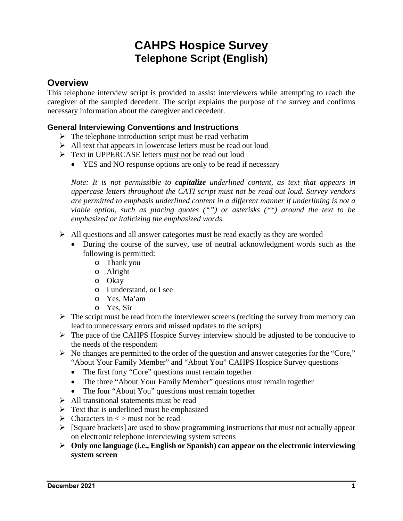# **CAHPS Hospice Survey Telephone Script (English)**

# **Overview**

This telephone interview script is provided to assist interviewers while attempting to reach the caregiver of the sampled decedent. The script explains the purpose of the survey and confirms necessary information about the caregiver and decedent.

# **General Interviewing Conventions and Instructions**

- $\triangleright$  The telephone introduction script must be read verbatim
- $\triangleright$  All text that appears in lowercase letters must be read out loud
- **F** Text in UPPERCASE letters must not be read out loud
	- YES and NO response options are only to be read if necessary

*Note: It is not permissible to capitalize underlined content, as text that appears in uppercase letters throughout the CATI script must not be read out loud. Survey vendors are permitted to emphasis underlined content in a different manner if underlining is not a viable option, such as placing quotes ("") or asterisks (\*\*) around the text to be emphasized or italicizing the emphasized words.* 

- $\triangleright$  All questions and all answer categories must be read exactly as they are worded
	- During the course of the survey, use of neutral acknowledgment words such as the following is permitted:
		- o Thank you
		- o Alright
		- o Okay
		- o I understand, or I see
		- o Yes, Ma'am
		- o Yes, Sir
- $\triangleright$  The script must be read from the interviewer screens (reciting the survey from memory can lead to unnecessary errors and missed updates to the scripts)
- The pace of the CAHPS Hospice Survey interview should be adjusted to be conducive to the needs of the respondent
- $\triangleright$  No changes are permitted to the order of the question and answer categories for the "Core," "About Your Family Member" and "About You" CAHPS Hospice Survey questions
	- The first forty "Core" questions must remain together
	- The three "About Your Family Member" questions must remain together
	- The four "About You" questions must remain together
- $\triangleright$  All transitional statements must be read
- $\triangleright$  Text that is underlined must be emphasized
- $\triangleright$  Characters in  $\lt$  must not be read
- $\triangleright$  [Square brackets] are used to show programming instructions that must not actually appear on electronic telephone interviewing system screens
- **Only one language (i.e., English or Spanish) can appear on the electronic interviewing system screen**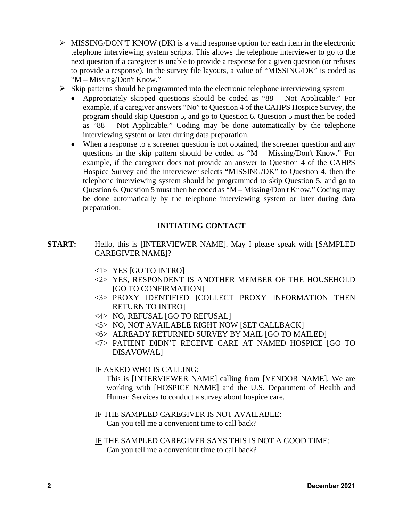- $\triangleright$  MISSING/DON'T KNOW (DK) is a valid response option for each item in the electronic telephone interviewing system scripts. This allows the telephone interviewer to go to the next question if a caregiver is unable to provide a response for a given question (or refuses to provide a response). In the survey file layouts, a value of "MISSING/DK" is coded as "M – Missing/Don't Know."
- $\triangleright$  Skip patterns should be programmed into the electronic telephone interviewing system
	- Appropriately skipped questions should be coded as "88 Not Applicable." For example, if a caregiver answers "No" to Question 4 of the CAHPS Hospice Survey, the program should skip Question 5, and go to Question 6. Question 5 must then be coded as "88 – Not Applicable." Coding may be done automatically by the telephone interviewing system or later during data preparation.
	- When a response to a screener question is not obtained, the screener question and any questions in the skip pattern should be coded as "M – Missing/Don't Know." For example, if the caregiver does not provide an answer to Question 4 of the CAHPS Hospice Survey and the interviewer selects "MISSING/DK" to Question 4, then the telephone interviewing system should be programmed to skip Question 5, and go to Question 6. Question 5 must then be coded as "M – Missing/Don't Know." Coding may be done automatically by the telephone interviewing system or later during data preparation.

# **INITIATING CONTACT**

- **START:** Hello, this is [INTERVIEWER NAME]. May I please speak with [SAMPLED] CAREGIVER NAME]?
	- $\langle$ 1> YES [GO TO INTRO]
	- <2> YES, RESPONDENT IS ANOTHER MEMBER OF THE HOUSEHOLD [GO TO CONFIRMATION]
	- <3> PROXY IDENTIFIED [COLLECT PROXY INFORMATION THEN RETURN TO INTRO]
	- <4> NO, REFUSAL [GO TO REFUSAL]
	- <5> NO, NOT AVAILABLE RIGHT NOW [SET CALLBACK]
	- <6> ALREADY RETURNED SURVEY BY MAIL [GO TO MAILED]
	- <7> PATIENT DIDN'T RECEIVE CARE AT NAMED HOSPICE [GO TO DISAVOWAL]

# IF ASKED WHO IS CALLING:

This is [INTERVIEWER NAME] calling from [VENDOR NAME]. We are working with [HOSPICE NAME] and the U.S. Department of Health and Human Services to conduct a survey about hospice care.

IF THE SAMPLED CAREGIVER IS NOT AVAILABLE: Can you tell me a convenient time to call back?

IF THE SAMPLED CAREGIVER SAYS THIS IS NOT A GOOD TIME: Can you tell me a convenient time to call back?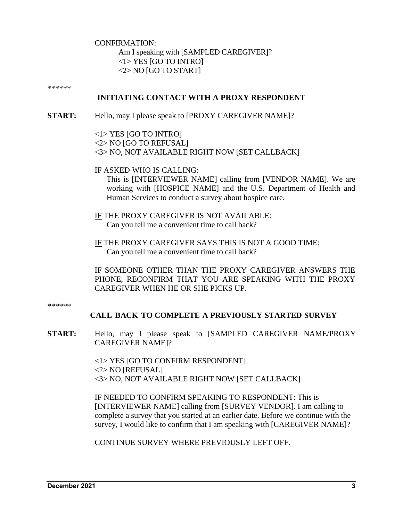CONFIRMATION:

Am I speaking with [SAMPLED CAREGIVER]? <1> YES [GO TO INTRO]  $<$ 2> NO [GO TO START]

\*\*\*\*\*\*

# **INITIATING CONTACT WITH A PROXY RESPONDENT**

**START:** Hello, may I please speak to [PROXY CAREGIVER NAME]?

<1> YES [GO TO INTRO]

<2> NO [GO TO REFUSAL]

<3> NO, NOT AVAILABLE RIGHT NOW [SET CALLBACK]

IF ASKED WHO IS CALLING:

This is [INTERVIEWER NAME] calling from [VENDOR NAME]. We are working with [HOSPICE NAME] and the U.S. Department of Health and Human Services to conduct a survey about hospice care.

IF THE PROXY CAREGIVER IS NOT AVAILABLE: Can you tell me a convenient time to call back?

IF THE PROXY CAREGIVER SAYS THIS IS NOT A GOOD TIME: Can you tell me a convenient time to call back?

IF SOMEONE OTHER THAN THE PROXY CAREGIVER ANSWERS THE PHONE, RECONFIRM THAT YOU ARE SPEAKING WITH THE PROXY CAREGIVER WHEN HE OR SHE PICKS UP.

\*\*\*\*\*\*

# **CALL BACK TO COMPLETE A PREVIOUSLY STARTED SURVEY**

**START:** Hello, may I please speak to [SAMPLED CAREGIVER NAME/PROXY CAREGIVER NAME]?

> <1> YES [GO TO CONFIRM RESPONDENT] <2> NO [REFUSAL] <3> NO, NOT AVAILABLE RIGHT NOW [SET CALLBACK]

IF NEEDED TO CONFIRM SPEAKING TO RESPONDENT: This is [INTERVIEWER NAME] calling from [SURVEY VENDOR]. I am calling to complete a survey that you started at an earlier date. Before we continue with the survey, I would like to confirm that I am speaking with [CAREGIVER NAME]?

CONTINUE SURVEY WHERE PREVIOUSLY LEFT OFF.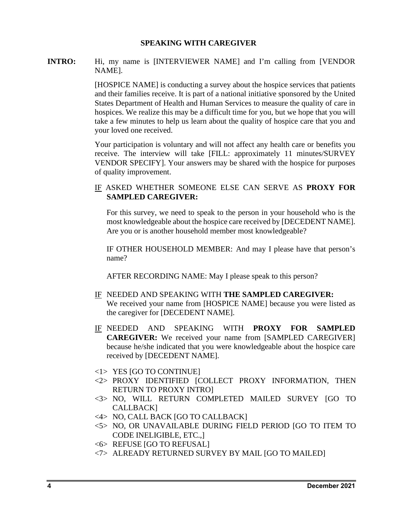### **SPEAKING WITH CAREGIVER**

## **INTRO:** Hi, my name is [INTERVIEWER NAME] and I'm calling from [VENDOR] NAME].

[HOSPICE NAME] is conducting a survey about the hospice services that patients and their families receive. It is part of a national initiative sponsored by the United States Department of Health and Human Services to measure the quality of care in hospices. We realize this may be a difficult time for you, but we hope that you will take a few minutes to help us learn about the quality of hospice care that you and your loved one received.

Your participation is voluntary and will not affect any health care or benefits you receive. The interview will take [FILL: approximately 11 minutes/SURVEY VENDOR SPECIFY]. Your answers may be shared with the hospice for purposes of quality improvement.

## IF ASKED WHETHER SOMEONE ELSE CAN SERVE AS **PROXY FOR SAMPLED CAREGIVER:**

For this survey, we need to speak to the person in your household who is the most knowledgeable about the hospice care received by [DECEDENT NAME]. Are you or is another household member most knowledgeable?

IF OTHER HOUSEHOLD MEMBER: And may I please have that person's name?

AFTER RECORDING NAME: May I please speak to this person?

- IF NEEDED AND SPEAKING WITH **THE SAMPLED CAREGIVER:**  We received your name from [HOSPICE NAME] because you were listed as the caregiver for [DECEDENT NAME].
- IF NEEDED AND SPEAKING WITH **PROXY FOR SAMPLED CAREGIVER:** We received your name from [SAMPLED CAREGIVER] because he/she indicated that you were knowledgeable about the hospice care received by [DECEDENT NAME].
- <1> YES [GO TO CONTINUE]
- <2> PROXY IDENTIFIED [COLLECT PROXY INFORMATION, THEN RETURN TO PROXY INTRO]
- <3> NO, WILL RETURN COMPLETED MAILED SURVEY [GO TO CALLBACK]
- <4> NO, CALL BACK [GO TO CALLBACK]
- <5> NO, OR UNAVAILABLE DURING FIELD PERIOD [GO TO ITEM TO CODE INELIGIBLE, ETC.,]
- <6> REFUSE [GO TO REFUSAL]
- <7> ALREADY RETURNED SURVEY BY MAIL [GO TO MAILED]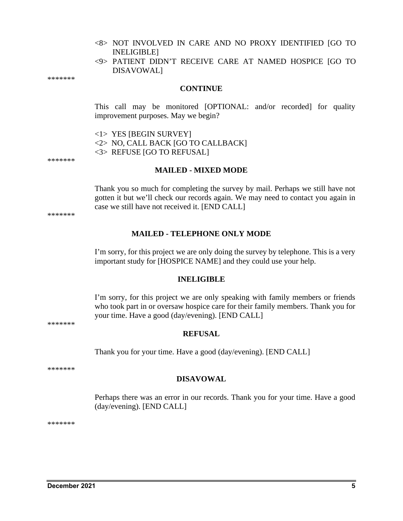- <8> NOT INVOLVED IN CARE AND NO PROXY IDENTIFIED [GO TO INELIGIBLE]
- <9> PATIENT DIDN'T RECEIVE CARE AT NAMED HOSPICE [GO TO DISAVOWAL]

\*\*\*\*\*\*\*

#### **CONTINUE**

This call may be monitored [OPTIONAL: and/or recorded] for quality improvement purposes. May we begin?

<1> YES [BEGIN SURVEY]

<2> NO, CALL BACK [GO TO CALLBACK]

<3> REFUSE [GO TO REFUSAL]

\*\*\*\*\*\*\*

### **MAILED - MIXED MODE**

Thank you so much for completing the survey by mail. Perhaps we still have not gotten it but we'll check our records again. We may need to contact you again in case we still have not received it. [END CALL]

#### **MAILED - TELEPHONE ONLY MODE**

I'm sorry, for this project we are only doing the survey by telephone. This is a very important study for [HOSPICE NAME] and they could use your help.

#### **INELIGIBLE**

I'm sorry, for this project we are only speaking with family members or friends who took part in or oversaw hospice care for their family members. Thank you for your time. Have a good (day/evening). [END CALL]

**REFUSAL**

Thank you for your time. Have a good (day/evening). [END CALL]

\*\*\*\*\*\*\*

#### **DISAVOWAL**

Perhaps there was an error in our records. Thank you for your time. Have a good (day/evening). [END CALL]

\*\*\*\*\*\*\*

\*\*\*\*\*\*\*

\*\*\*\*\*\*\*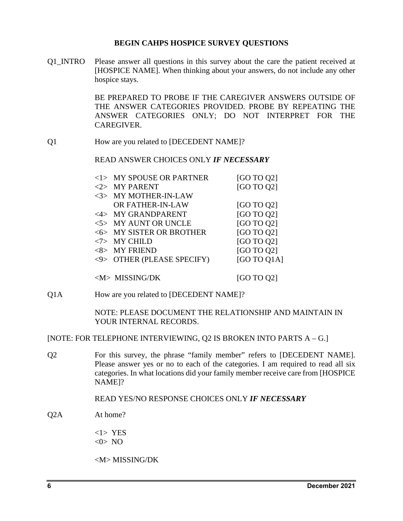### **BEGIN CAHPS HOSPICE SURVEY QUESTIONS**

Q1\_INTRO Please answer all questions in this survey about the care the patient received at [HOSPICE NAME]. When thinking about your answers, do not include any other hospice stays.

> BE PREPARED TO PROBE IF THE CAREGIVER ANSWERS OUTSIDE OF THE ANSWER CATEGORIES PROVIDED. PROBE BY REPEATING THE ANSWER CATEGORIES ONLY; DO NOT INTERPRET FOR THE **CAREGIVER.**

Q1 How are you related to [DECEDENT NAME]?

READ ANSWER CHOICES ONLY *IF NECESSARY*

| $<$ 1> MY SPOUSE OR PARTNER | [GO TO Q2]  |
|-----------------------------|-------------|
| <2> MY PARENT               | [GO TO Q2]  |
| <3> MY MOTHER-IN-LAW        |             |
| OR FATHER-IN-LAW            | [GO TO Q2]  |
| <4> MY GRANDPARENT          | [GO TO Q2]  |
| <5> MY AUNT OR UNCLE        | [GO TO Q2]  |
| <6> MY SISTER OR BROTHER    | [GO TO Q2]  |
| $<7>$ MY CHILD              | [GO TO Q2]  |
| $<8>$ MY FRIEND             | [GO TO Q2]  |
| <9> OTHER (PLEASE SPECIFY)  | [GO TO 01A] |
|                             |             |

 $\langle M \rangle$  MISSING/DK [GO TO Q2]

Q1A How are you related to [DECEDENT NAME]?

NOTE: PLEASE DOCUMENT THE RELATIONSHIP AND MAINTAIN IN YOUR INTERNAL RECORDS.

[NOTE: FOR TELEPHONE INTERVIEWING, Q2 IS BROKEN INTO PARTS A – G.]

Q2 For this survey, the phrase "family member" refers to [DECEDENT NAME]. Please answer yes or no to each of the categories. I am required to read all six categories. In what locations did your family member receive care from [HOSPICE NAME]?

## READ YES/NO RESPONSE CHOICES ONLY *IF NECESSARY*

- Q2A At home?
	- <1> YES  $<0>$  NO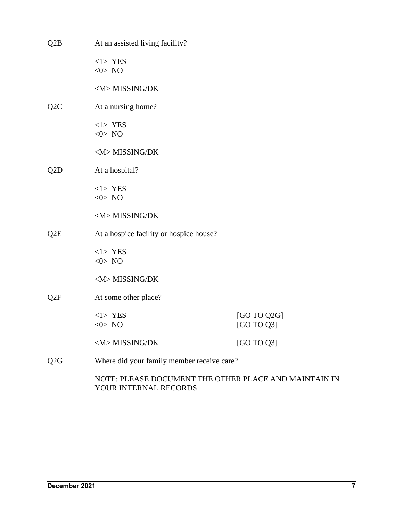| $\rm Q2B$                                                                       | At an assisted living facility?            |                           |
|---------------------------------------------------------------------------------|--------------------------------------------|---------------------------|
|                                                                                 | $<1>$ YES<br>$<0>$ NO                      |                           |
|                                                                                 | <m>MISSING/DK</m>                          |                           |
| Q <sub>2</sub> C                                                                | At a nursing home?                         |                           |
|                                                                                 | $<1>$ YES<br>$<0>$ NO                      |                           |
|                                                                                 | <m>MISSING/DK</m>                          |                           |
| Q <sub>2</sub> D                                                                | At a hospital?                             |                           |
|                                                                                 | $<1>$ YES<br>$<0>$ NO                      |                           |
|                                                                                 | <m>MISSING/DK</m>                          |                           |
| Q <sub>2</sub> E                                                                | At a hospice facility or hospice house?    |                           |
|                                                                                 | $<1>$ YES<br>$<0>$ NO                      |                           |
|                                                                                 | <m>MISSING/DK</m>                          |                           |
| Q <sub>2</sub> F                                                                | At some other place?                       |                           |
|                                                                                 | $<1>$ YES<br>$<0>$ NO                      | [GO TO Q2G]<br>[GO TO Q3] |
|                                                                                 | <m>MISSING/DK</m>                          | [GO TO Q3]                |
| Q <sub>2G</sub>                                                                 | Where did your family member receive care? |                           |
| NOTE: PLEASE DOCUMENT THE OTHER PLACE AND MAINTAIN IN<br>YOUR INTERNAL RECORDS. |                                            |                           |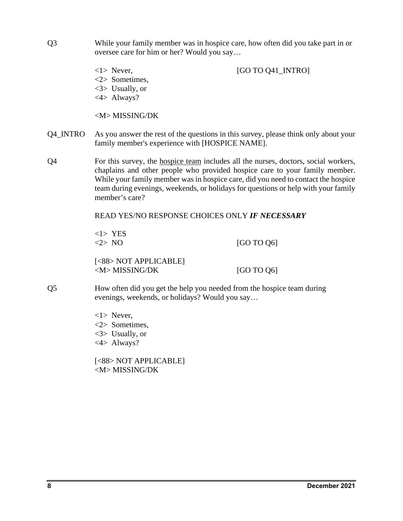- Q3 While your family member was in hospice care, how often did you take part in or oversee care for him or her? Would you say…
	-

<1> Never, [GO TO Q41\_INTRO]

- <2> Sometimes,
- <3> Usually, or
- <4> Always?

<M> MISSING/DK

- Q4\_INTRO As you answer the rest of the questions in this survey, please think only about your family member's experience with [HOSPICE NAME].
- Q4 For this survey, the hospice team includes all the nurses, doctors, social workers, chaplains and other people who provided hospice care to your family member. While your family member was in hospice care, did you need to contact the hospice team during evenings, weekends, or holidays for questions or help with your family member's care?

# READ YES/NO RESPONSE CHOICES ONLY *IF NECESSARY*

 $\langle 1 \rangle$  YES<br> $\langle 2 \rangle$  NO

 $[GO TO Q6]$ 

[<88> NOT APPLICABLE]  $\langle M \rangle$  MISSING/DK [GO TO Q6]

- Q5 How often did you get the help you needed from the hospice team during evenings, weekends, or holidays? Would you say…
	- <1> Never, <2> Sometimes, <3> Usually, or <4> Always?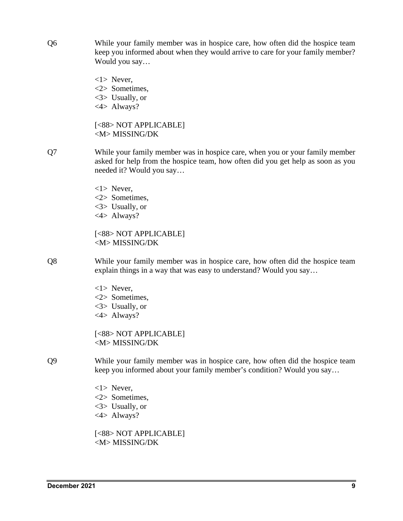Q6 While your family member was in hospice care, how often did the hospice team keep you informed about when they would arrive to care for your family member? Would you say…

> <1> Never, <2> Sometimes, <3> Usually, or <4> Always?

[<88> NOT APPLICABLE] <M> MISSING/DK

- Q7 While your family member was in hospice care, when you or your family member asked for help from the hospice team, how often did you get help as soon as you needed it? Would you say…
	- <1> Never, <2> Sometimes, <3> Usually, or <4> Always?

[<88> NOT APPLICABLE] <M> MISSING/DK

Q8 While your family member was in hospice care, how often did the hospice team explain things in a way that was easy to understand? Would you say…

> <1> Never, <2> Sometimes, <3> Usually, or <4> Always?

[<88> NOT APPLICABLE] <M> MISSING/DK

Q9 While your family member was in hospice care, how often did the hospice team keep you informed about your family member's condition? Would you say…

> <1> Never, <2> Sometimes, <3> Usually, or <4> Always?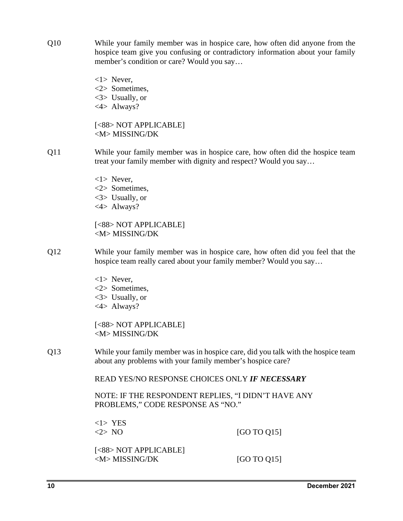- Q10 While your family member was in hospice care, how often did anyone from the hospice team give you confusing or contradictory information about your family member's condition or care? Would you say…
	- <1> Never, <2> Sometimes, <3> Usually, or <4> Always?

[<88> NOT APPLICABLE] <M> MISSING/DK

- Q11 While your family member was in hospice care, how often did the hospice team treat your family member with dignity and respect? Would you say…
	- <1> Never, <2> Sometimes, <3> Usually, or
	- <4> Always?

[<88> NOT APPLICABLE] <M> MISSING/DK

- Q12 While your family member was in hospice care, how often did you feel that the hospice team really cared about your family member? Would you say…
	- <1> Never,
	- <2> Sometimes,
	- <3> Usually, or
	- <4> Always?

[<88> NOT APPLICABLE] <M> MISSING/DK

Q13 While your family member was in hospice care, did you talk with the hospice team about any problems with your family member's hospice care?

READ YES/NO RESPONSE CHOICES ONLY *IF NECESSARY* 

NOTE: IF THE RESPONDENT REPLIES, "I DIDN'T HAVE ANY PROBLEMS," CODE RESPONSE AS "NO."

<1> YES  $\langle 2 \rangle$  NO [GO TO Q15]

[<88> NOT APPLICABLE]  $\langle M \rangle$  MISSING/DK [GO TO Q15]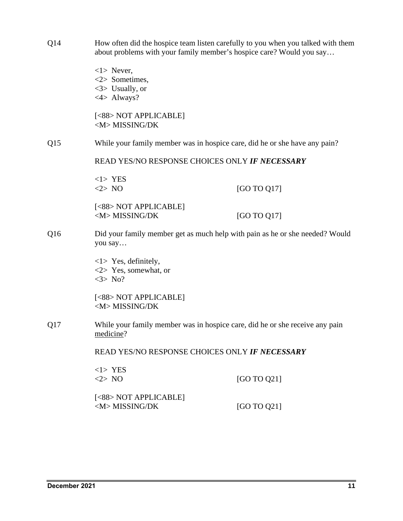- Q14 How often did the hospice team listen carefully to you when you talked with them about problems with your family member's hospice care? Would you say…
- <1> Never, <2> Sometimes, <3> Usually, or <4> Always? [<88> NOT APPLICABLE] <M> MISSING/DK Q15 While your family member was in hospice care, did he or she have any pain? READ YES/NO RESPONSE CHOICES ONLY *IF NECESSARY*  <1> YES  $\langle 2 \rangle$  NO [GO TO Q17] [<88> NOT APPLICABLE]  $\langle M \rangle$  MISSING/DK [GO TO Q17] Q16 Did your family member get as much help with pain as he or she needed? Would you say… <1> Yes, definitely, <2> Yes, somewhat, or  $<$ 3> No? [<88> NOT APPLICABLE] <M> MISSING/DK Q17 While your family member was in hospice care, did he or she receive any pain medicine? READ YES/NO RESPONSE CHOICES ONLY *IF NECESSARY*  <1> YES  $\langle 2 \rangle$  NO [GO TO Q21] [<88> NOT APPLICABLE]  $\langle M \rangle$  MISSING/DK [GO TO Q21]
	-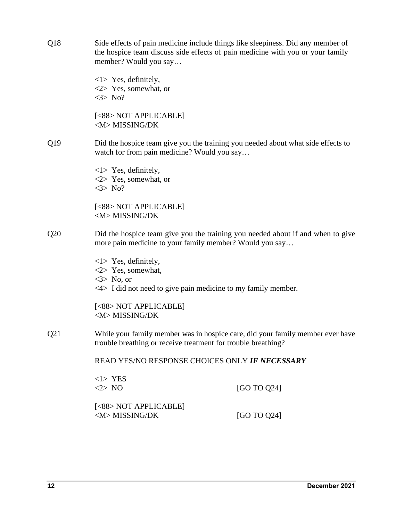| Q18                                                                                                                                               | Side effects of pain medicine include things like sleepiness. Did any member of<br>the hospice team discuss side effects of pain medicine with you or your family<br>member? Would you say |             |
|---------------------------------------------------------------------------------------------------------------------------------------------------|--------------------------------------------------------------------------------------------------------------------------------------------------------------------------------------------|-------------|
|                                                                                                                                                   | $\langle 1 \rangle$ Yes, definitely,<br>$\langle 2 \rangle$ Yes, somewhat, or<br>$<3>$ No?                                                                                                 |             |
|                                                                                                                                                   | [<88> NOT APPLICABLE]<br><m>MISSING/DK</m>                                                                                                                                                 |             |
| Q19                                                                                                                                               | Did the hospice team give you the training you needed about what side effects to<br>watch for from pain medicine? Would you say                                                            |             |
|                                                                                                                                                   | $\langle 1 \rangle$ Yes, definitely,<br>$\langle 2 \rangle$ Yes, somewhat, or<br>$<3>$ No?                                                                                                 |             |
|                                                                                                                                                   | [<88> NOT APPLICABLE]<br><m>MISSING/DK</m>                                                                                                                                                 |             |
| Did the hospice team give you the training you needed about if and when to give<br>Q20<br>more pain medicine to your family member? Would you say |                                                                                                                                                                                            |             |
|                                                                                                                                                   | $\langle 1 \rangle$ Yes, definitely,<br><2> Yes, somewhat,<br>$\langle 3 \rangle$ No, or<br>$\langle 4 \rangle$ I did not need to give pain medicine to my family member.                  |             |
|                                                                                                                                                   | [<88> NOT APPLICABLE]<br><m>MISSING/DK</m>                                                                                                                                                 |             |
| Q21                                                                                                                                               | While your family member was in hospice care, did your family member ever have<br>trouble breathing or receive treatment for trouble breathing?                                            |             |
|                                                                                                                                                   | READ YES/NO RESPONSE CHOICES ONLY IF NECESSARY                                                                                                                                             |             |
|                                                                                                                                                   | $<1>$ YES<br><2>NO                                                                                                                                                                         | [GO TO Q24] |
|                                                                                                                                                   | [<88> NOT APPLICABLE]<br><m>MISSING/DK</m>                                                                                                                                                 | [GO TO Q24] |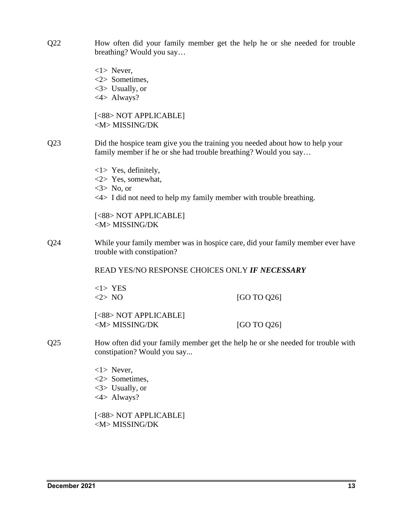Q22 How often did your family member get the help he or she needed for trouble breathing? Would you say… <1> Never, <2> Sometimes, <3> Usually, or <4> Always? [<88> NOT APPLICABLE] <M> MISSING/DK Q23 Did the hospice team give you the training you needed about how to help your family member if he or she had trouble breathing? Would you say… <1> Yes, definitely, <2> Yes, somewhat,  $<$ 3> No, or  $\langle 4 \rangle$  I did not need to help my family member with trouble breathing. [<88> NOT APPLICABLE] <M> MISSING/DK Q24 While your family member was in hospice care, did your family member ever have trouble with constipation? READ YES/NO RESPONSE CHOICES ONLY *IF NECESSARY*  <1> YES  $\langle 2 \rangle$  NO [GO TO Q26] [<88> NOT APPLICABLE]  $|M>$  MISSING/DK [GO TO Q26] Q25 How often did your family member get the help he or she needed for trouble with constipation? Would you say... <1> Never, <2> Sometimes, <3> Usually, or <4> Always? [<88> NOT APPLICABLE] <M> MISSING/DK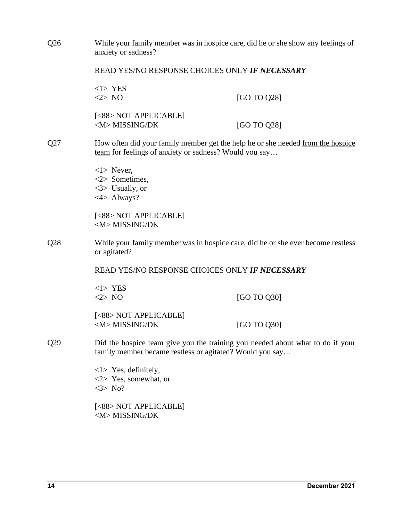| Q26                                                                                                     | While your family member was in hospice care, did he or she show any feelings of<br>anxiety or sadness?                                    |             |  |
|---------------------------------------------------------------------------------------------------------|--------------------------------------------------------------------------------------------------------------------------------------------|-------------|--|
|                                                                                                         | READ YES/NO RESPONSE CHOICES ONLY IF NECESSARY                                                                                             |             |  |
|                                                                                                         | $<1>$ YES<br><2>NO                                                                                                                         | [GO TO Q28] |  |
|                                                                                                         | [<88> NOT APPLICABLE]<br><m>MISSING/DK</m>                                                                                                 | [GO TO Q28] |  |
| Q27                                                                                                     | How often did your family member get the help he or she needed from the hospice<br>team for feelings of anxiety or sadness? Would you say  |             |  |
|                                                                                                         | $\langle 1 \rangle$ Never,<br>$<$ 2> Sometimes,<br>$\langle 3 \rangle$ Usually, or<br>$<4>$ Always?                                        |             |  |
|                                                                                                         | [<88> NOT APPLICABLE]<br><m>MISSING/DK</m>                                                                                                 |             |  |
| While your family member was in hospice care, did he or she ever become restless<br>Q28<br>or agitated? |                                                                                                                                            |             |  |
|                                                                                                         | READ YES/NO RESPONSE CHOICES ONLY IF NECESSARY                                                                                             |             |  |
|                                                                                                         | $<1>$ YES<br><2>NO                                                                                                                         | [GO TO Q30] |  |
|                                                                                                         | [<88> NOT APPLICABLE]<br><m>MISSING/DK</m>                                                                                                 | [GO TO Q30] |  |
| Q29                                                                                                     | Did the hospice team give you the training you needed about what to do if your<br>family member became restless or agitated? Would you say |             |  |
|                                                                                                         | $\langle 1 \rangle$ Yes, definitely,<br>$\langle 2 \rangle$ Yes, somewhat, or<br>$<3>$ No?                                                 |             |  |
|                                                                                                         | [<88> NOT APPLICABLE]<br><m>MISSING/DK</m>                                                                                                 |             |  |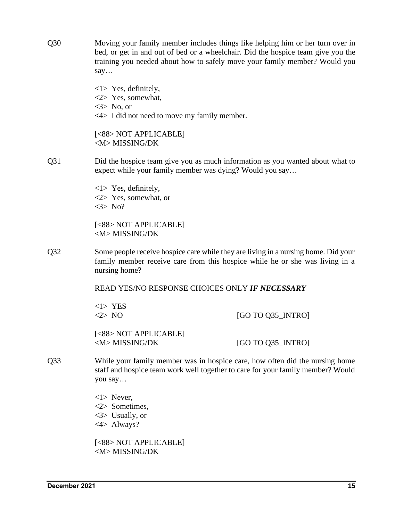Q30 Moving your family member includes things like helping him or her turn over in bed, or get in and out of bed or a wheelchair. Did the hospice team give you the training you needed about how to safely move your family member? Would you say… <1> Yes, definitely, <2> Yes, somewhat,  $\langle 3 \rangle$  No, or <4> I did not need to move my family member. [<88> NOT APPLICABLE] <M> MISSING/DK Q31 Did the hospice team give you as much information as you wanted about what to expect while your family member was dying? Would you say… <1> Yes, definitely, <2> Yes, somewhat, or  $<$ 3> No? [<88> NOT APPLICABLE] <M> MISSING/DK Q32 Some people receive hospice care while they are living in a nursing home. Did your family member receive care from this hospice while he or she was living in a nursing home? READ YES/NO RESPONSE CHOICES ONLY *IF NECESSARY*  <1> YES  $\langle 2 \rangle$  NO  $\qquad \qquad$  [GO TO Q35 INTRO] [<88> NOT APPLICABLE]  $\langle M \rangle$  MISSING/DK [GO TO Q35\_INTRO] Q33 While your family member was in hospice care, how often did the nursing home staff and hospice team work well together to care for your family member? Would you say… <1> Never, <2> Sometimes, <3> Usually, or <4> Always? [<88> NOT APPLICABLE]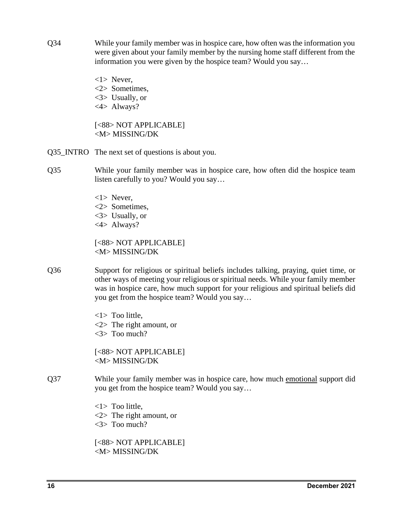- Q34 While your family member was in hospice care, how often was the information you were given about your family member by the nursing home staff different from the information you were given by the hospice team? Would you say…
	- <1> Never, <2> Sometimes, <3> Usually, or <4> Always?

[<88> NOT APPLICABLE] <M> MISSING/DK

- Q35\_INTRO The next set of questions is about you.
- Q35 While your family member was in hospice care, how often did the hospice team listen carefully to you? Would you say…
	- <1> Never,
	- <2> Sometimes,
	- <3> Usually, or
	- <4> Always?

[<88> NOT APPLICABLE] <M> MISSING/DK

- Q36 Support for religious or spiritual beliefs includes talking, praying, quiet time, or other ways of meeting your religious or spiritual needs. While your family member was in hospice care, how much support for your religious and spiritual beliefs did you get from the hospice team? Would you say…
	- <1> Too little, <2> The right amount, or <3> Too much?

[<88> NOT APPLICABLE] <M> MISSING/DK

Q37 While your family member was in hospice care, how much emotional support did you get from the hospice team? Would you say…

> <1> Too little, <2> The right amount, or <3> Too much?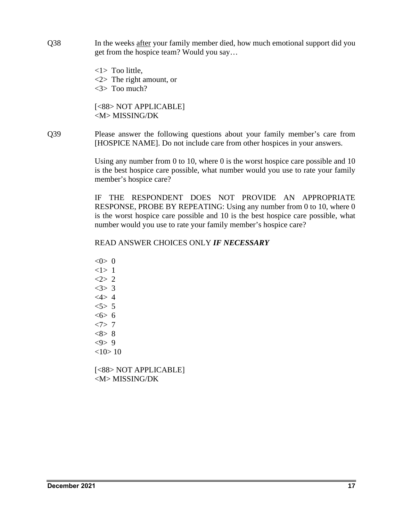Q38 In the weeks after your family member died, how much emotional support did you get from the hospice team? Would you say…

> <1> Too little, <2> The right amount, or <3> Too much?

[<88> NOT APPLICABLE] <M> MISSING/DK

Q39 Please answer the following questions about your family member's care from [HOSPICE NAME]. Do not include care from other hospices in your answers.

> Using any number from 0 to 10, where 0 is the worst hospice care possible and 10 is the best hospice care possible, what number would you use to rate your family member's hospice care?

> IF THE RESPONDENT DOES NOT PROVIDE AN APPROPRIATE RESPONSE, PROBE BY REPEATING: Using any number from 0 to 10, where 0 is the worst hospice care possible and 10 is the best hospice care possible, what number would you use to rate your family member's hospice care?

# READ ANSWER CHOICES ONLY *IF NECESSARY*

 $< 0 > 0$ <1> 1  $2 > 2$  $<3>3$  $<4>4$  $5 > 5$  $556$  $<7>7$  $<8>8$  $<\!\theta\!>9$  $<10>10$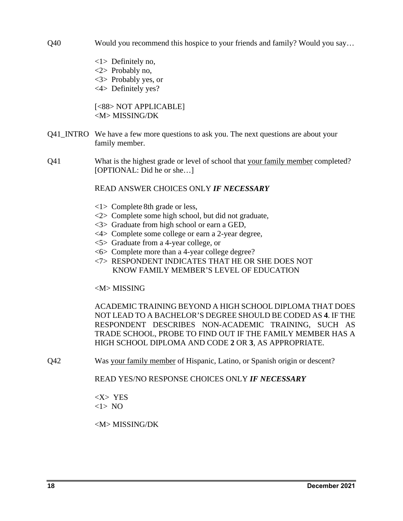Q40 Would you recommend this hospice to your friends and family? Would you say…

- <1> Definitely no, <2> Probably no, <3> Probably yes, or
- <4> Definitely yes?

[<88> NOT APPLICABLE] <M> MISSING/DK

- Q41\_INTRO We have a few more questions to ask you. The next questions are about your family member.
- Q41 What is the highest grade or level of school that your family member completed? [OPTIONAL: Did he or she...]

# READ ANSWER CHOICES ONLY *IF NECESSARY*

- <1> Complete 8th grade or less,
- <2> Complete some high school, but did not graduate,
- <3> Graduate from high school or earn a GED,
- <4> Complete some college or earn a 2-year degree,
- <5> Graduate from a 4-year college, or
- <6> Complete more than a 4-year college degree?
- <7> RESPONDENT INDICATES THAT HE OR SHE DOES NOT KNOW FAMILY MEMBER'S LEVEL OF EDUCATION

# <M> MISSING

ACADEMIC TRAINING BEYOND A HIGH SCHOOL DIPLOMA THAT DOES NOT LEAD TO A BACHELOR'S DEGREE SHOULD BE CODED AS **4**. IF THE RESPONDENT DESCRIBES NON-ACADEMIC TRAINING, SUCH AS TRADE SCHOOL, PROBE TO FIND OUT IF THE FAMILY MEMBER HAS A HIGH SCHOOL DIPLOMA AND CODE **2** OR **3**, AS APPROPRIATE.

Q42 Was your family member of Hispanic, Latino, or Spanish origin or descent?

READ YES/NO RESPONSE CHOICES ONLY *IF NECESSARY* 

<X> YES  $<1>$  NO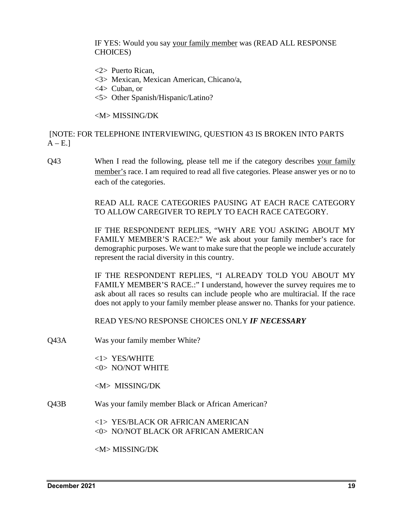IF YES: Would you say your family member was (READ ALL RESPONSE CHOICES)

- <2> Puerto Rican,
- <3> Mexican, Mexican American, Chicano/a,
- <4> Cuban, or
- <5> Other Spanish/Hispanic/Latino?

<M> MISSING/DK

[NOTE: FOR TELEPHONE INTERVIEWING, QUESTION 43 IS BROKEN INTO PARTS  $A - E.$ ]

Q43 When I read the following, please tell me if the category describes your family member's race. I am required to read all five categories. Please answer yes or no to each of the categories.

> READ ALL RACE CATEGORIES PAUSING AT EACH RACE CATEGORY TO ALLOW CAREGIVER TO REPLY TO EACH RACE CATEGORY.

> IF THE RESPONDENT REPLIES, "WHY ARE YOU ASKING ABOUT MY FAMILY MEMBER'S RACE?:" We ask about your family member's race for demographic purposes. We want to make sure that the people we include accurately represent the racial diversity in this country.

> IF THE RESPONDENT REPLIES, "I ALREADY TOLD YOU ABOUT MY FAMILY MEMBER'S RACE.:" I understand, however the survey requires me to ask about all races so results can include people who are multiracial. If the race does not apply to your family member please answer no. Thanks for your patience.

READ YES/NO RESPONSE CHOICES ONLY *IF NECESSARY* 

Q43A Was your family member White?

<1> YES/WHITE <0> NO/NOT WHITE

<M> MISSING/DK

Q43B Was your family member Black or African American?

<1> YES/BLACK OR AFRICAN AMERICAN <0> NO/NOT BLACK OR AFRICAN AMERICAN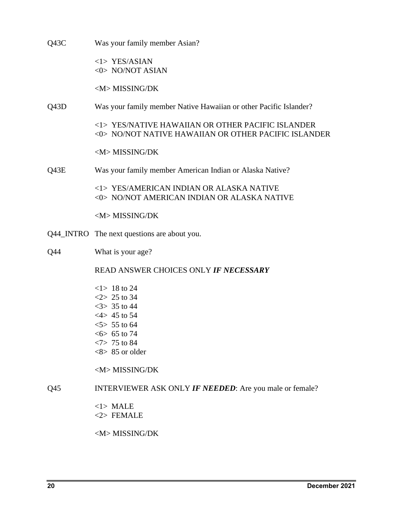| Q43C | Was your family member Asian?                                                                                                                                 |
|------|---------------------------------------------------------------------------------------------------------------------------------------------------------------|
|      | $<$ 1> YES/ASIAN<br>$<0>$ NO/NOT ASIAN                                                                                                                        |
|      | <m>MISSING/DK</m>                                                                                                                                             |
| Q43D | Was your family member Native Hawaiian or other Pacific Islander?                                                                                             |
|      | <1> YES/NATIVE HAWAIIAN OR OTHER PACIFIC ISLANDER<br><0> NO/NOT NATIVE HAWAIIAN OR OTHER PACIFIC ISLANDER                                                     |
|      | <m>MISSING/DK</m>                                                                                                                                             |
| Q43E | Was your family member American Indian or Alaska Native?                                                                                                      |
|      | <1> YES/AMERICAN INDIAN OR ALASKA NATIVE<br><0> NO/NOT AMERICAN INDIAN OR ALASKA NATIVE                                                                       |
|      | <m>MISSING/DK</m>                                                                                                                                             |
|      | Q44_INTRO The next questions are about you.                                                                                                                   |
| Q44  | What is your age?                                                                                                                                             |
|      | READ ANSWER CHOICES ONLY IF NECESSARY                                                                                                                         |
|      | $<1>18$ to 24<br>$2 > 25$ to 34<br>$35$ to 44<br>$<4>45$ to 54<br>$5 > 55$ to 64<br>$<6$ > 65 to 74<br>$<7>75$ to 84<br>$<8>85$ or older<br><m>MISSING/DK</m> |
| Q45  | <b>INTERVIEWER ASK ONLY IF NEEDED:</b> Are you male or female?                                                                                                |
|      | $<$ 1> MALE<br>$<$ 2> FEMALE                                                                                                                                  |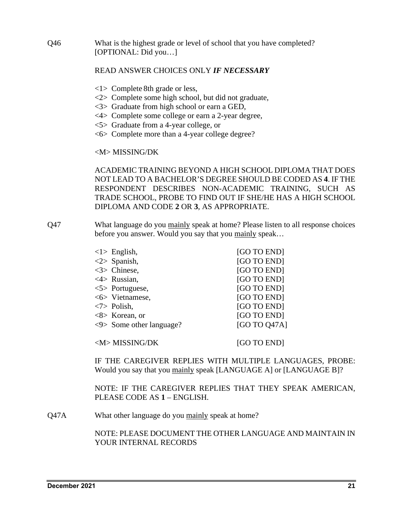Q46 What is the highest grade or level of school that you have completed? [OPTIONAL: Did you…]

# READ ANSWER CHOICES ONLY *IF NECESSARY*

- <1> Complete 8th grade or less,
- <2> Complete some high school, but did not graduate,
- <3> Graduate from high school or earn a GED,
- <4> Complete some college or earn a 2-year degree,
- <5> Graduate from a 4-year college, or
- <6> Complete more than a 4-year college degree?

## <M> MISSING/DK

ACADEMIC TRAINING BEYOND A HIGH SCHOOL DIPLOMA THAT DOES NOT LEAD TO A BACHELOR'S DEGREE SHOULD BE CODED AS **4**. IF THE RESPONDENT DESCRIBES NON-ACADEMIC TRAINING, SUCH AS TRADE SCHOOL, PROBE TO FIND OUT IF SHE/HE HAS A HIGH SCHOOL DIPLOMA AND CODE **2** OR **3**, AS APPROPRIATE.

Q47 What language do you mainly speak at home? Please listen to all response choices before you answer. Would you say that you mainly speak…

| $\langle 1 \rangle$ English,             | [GO TO END]  |
|------------------------------------------|--------------|
| $\langle 2 \rangle$ Spanish,             | [GO TO END]  |
| $<$ 3> Chinese,                          | [GO TO END]  |
| $\langle 4 \rangle$ Russian,             | [GO TO END]  |
| $\langle 5 \rangle$ Portuguese,          | [GO TO END]  |
| $<6>$ Vietnamese,                        | [GO TO END]  |
| $\langle 7 \rangle$ Polish,              | [GO TO END]  |
| $<8>$ Korean, or                         | [GO TO END]  |
| $\langle 9 \rangle$ Some other language? | [GO TO 047A] |
|                                          |              |
| <m>MISSING/DK</m>                        | [GO TO END]  |

IF THE CAREGIVER REPLIES WITH MULTIPLE LANGUAGES, PROBE: Would you say that you mainly speak [LANGUAGE A] or [LANGUAGE B]?

NOTE: IF THE CAREGIVER REPLIES THAT THEY SPEAK AMERICAN, PLEASE CODE AS **1** – ENGLISH.

Q47A What other language do you mainly speak at home?

NOTE: PLEASE DOCUMENT THE OTHER LANGUAGE AND MAINTAIN IN YOUR INTERNAL RECORDS